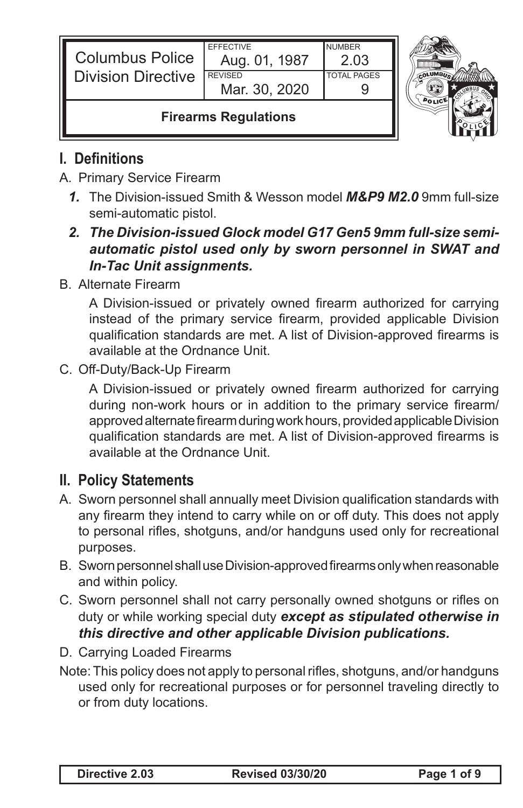| <b>Columbus Police</b><br><b>I</b> Division Directive | <b>EFFECTIVE</b><br>Aug. 01, 1987<br><b>REVISED</b> | <b>NUMBER</b><br>2.03<br><b>TOTAL PAGES</b> |  |
|-------------------------------------------------------|-----------------------------------------------------|---------------------------------------------|--|
|                                                       | Mar. 30, 2020                                       |                                             |  |
| <b>Firearms Regulations</b>                           |                                                     |                                             |  |

# **I. Definitions**

- A. Primary Service Firearm
	- *1.* The Division-issued Smith & Wesson model *M&P9 M2.0* 9mm full-size semi-automatic pistol.

#### *2. The Division-issued Glock model G17 Gen5 9mm full-size semiautomatic pistol used only by sworn personnel in SWAT and In-Tac Unit assignments.*

B. Alternate Firearm

 A Division-issued or privately owned firearm authorized for carrying instead of the primary service firearm, provided applicable Division qualification standards are met. A list of Division-approved firearms is available at the Ordnance Unit.

C. Off-Duty/Back-Up Firearm

A Division-issued or privately owned firearm authorized for carrying during non-work hours or in addition to the primary service firearm/ approved alternate firearm during work hours, provided applicable Division qualification standards are met. A list of Division-approved firearms is available at the Ordnance Unit.

## **II. Policy Statements**

- A. Sworn personnel shall annually meet Division qualification standards with any firearm they intend to carry while on or off duty. This does not apply to personal rifles, shotguns, and/or handguns used only for recreational purposes.
- B. Sworn personnel shall use Division-approved firearms only when reasonable and within policy.
- C. Sworn personnel shall not carry personally owned shotguns or rifles on duty or while working special duty *except as stipulated otherwise in this directive and other applicable Division publications.*
- D. Carrying Loaded Firearms
- Note: This policy does not apply to personal rifles, shotguns, and/or handguns used only for recreational purposes or for personnel traveling directly to or from duty locations.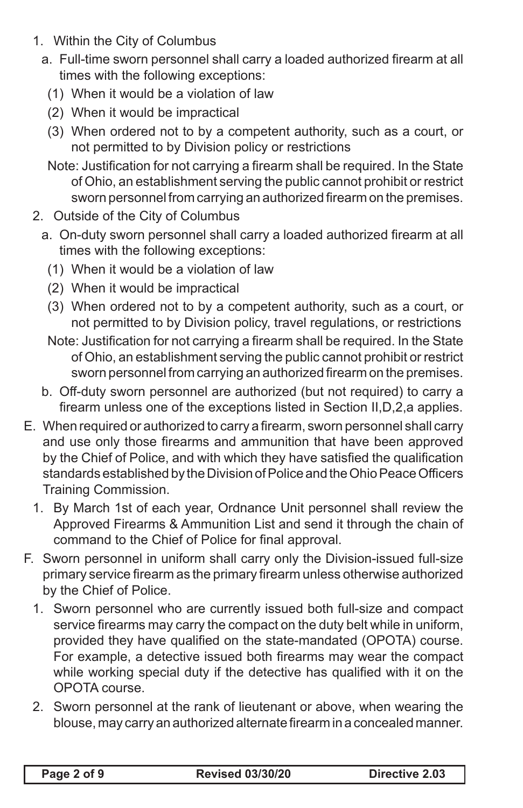- 1. Within the City of Columbus
	- a. Full-time sworn personnel shall carry a loaded authorized firearm at all times with the following exceptions:
		- (1) When it would be a violation of law
		- (2) When it would be impractical
		- (3) When ordered not to by a competent authority, such as a court, or not permitted to by Division policy or restrictions
		- Note: Justification for not carrying a firearm shall be required. In the State of Ohio, an establishment serving the public cannot prohibit or restrict sworn personnel from carrying an authorized firearm on the premises.
- 2. Outside of the City of Columbus
	- a. On-duty sworn personnel shall carry a loaded authorized firearm at all times with the following exceptions:
		- (1) When it would be a violation of law
		- (2) When it would be impractical
		- (3) When ordered not to by a competent authority, such as a court, or not permitted to by Division policy, travel regulations, or restrictions
		- Note: Justification for not carrying a firearm shall be required. In the State of Ohio, an establishment serving the public cannot prohibit or restrict sworn personnel from carrying an authorized firearm on the premises.
	- b. Off-duty sworn personnel are authorized (but not required) to carry a firearm unless one of the exceptions listed in Section II,D,2,a applies.
- E. When required or authorized to carry a firearm, sworn personnel shall carry and use only those firearms and ammunition that have been approved by the Chief of Police, and with which they have satisfied the qualification standards established by the Division of Police and the Ohio Peace Officers Training Commission.
	- 1. By March 1st of each year, Ordnance Unit personnel shall review the Approved Firearms & Ammunition List and send it through the chain of command to the Chief of Police for final approval.
- F. Sworn personnel in uniform shall carry only the Division-issued full-size primary service firearm as the primary firearm unless otherwise authorized by the Chief of Police.
	- 1. Sworn personnel who are currently issued both full-size and compact service firearms may carry the compact on the duty belt while in uniform, provided they have qualified on the state-mandated (OPOTA) course. For example, a detective issued both firearms may wear the compact while working special duty if the detective has qualified with it on the OPOTA course.
	- 2. Sworn personnel at the rank of lieutenant or above, when wearing the blouse, may carry an authorized alternate firearm in a concealed manner.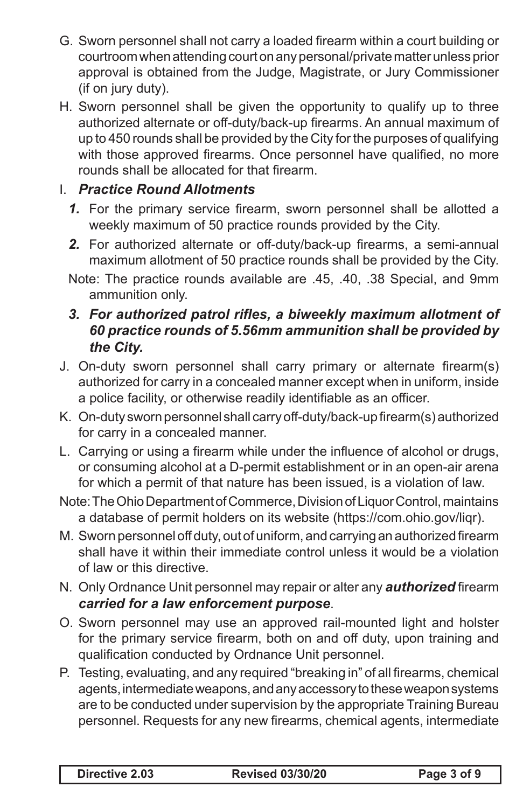- G. Sworn personnel shall not carry a loaded firearm within a court building or courtroom when attending court on any personal/private matter unless prior approval is obtained from the Judge, Magistrate, or Jury Commissioner (if on jury duty).
- H. Sworn personnel shall be given the opportunity to qualify up to three authorized alternate or off-duty/back-up firearms. An annual maximum of up to 450 rounds shall be provided by the City for the purposes of qualifying with those approved firearms. Once personnel have qualified, no more rounds shall be allocated for that firearm.

### I. *Practice Round Allotments*

- *1.* For the primary service firearm, sworn personnel shall be allotted a weekly maximum of 50 practice rounds provided by the City.
- *2.* For authorized alternate or off-duty/back-up firearms, a semi-annual maximum allotment of 50 practice rounds shall be provided by the City.
- Note: The practice rounds available are .45, .40, .38 Special, and 9mm ammunition only.

### *3. For authorized patrol rifles, a biweekly maximum allotment of 60 practice rounds of 5.56mm ammunition shall be provided by the City.*

- J. On-duty sworn personnel shall carry primary or alternate firearm(s) authorized for carry in a concealed manner except when in uniform, inside a police facility, or otherwise readily identifiable as an officer.
- K. On-duty sworn personnel shall carry off-duty/back-up firearm(s) authorized for carry in a concealed manner.
- L. Carrving or using a firearm while under the influence of alcohol or drugs, or consuming alcohol at a D-permit establishment or in an open-air arena for which a permit of that nature has been issued, is a violation of law.
- Note: The Ohio Department of Commerce, Division of Liquor Control, maintains a database of permit holders on its website (https://com.ohio.gov/liqr).
- M. Sworn personnel off duty, out of uniform, and carrying an authorized firearm shall have it within their immediate control unless it would be a violation of law or this directive.
- N. Only Ordnance Unit personnel may repair or alter any *authorized* firearm *carried for a law enforcement purpose*.
- O. Sworn personnel may use an approved rail-mounted light and holster for the primary service firearm, both on and off duty, upon training and qualification conducted by Ordnance Unit personnel.
- P. Testing, evaluating, and any required "breaking in" of all firearms, chemical agents, intermediate weapons, and any accessory to these weapon systems are to be conducted under supervision by the appropriate Training Bureau personnel. Requests for any new firearms, chemical agents, intermediate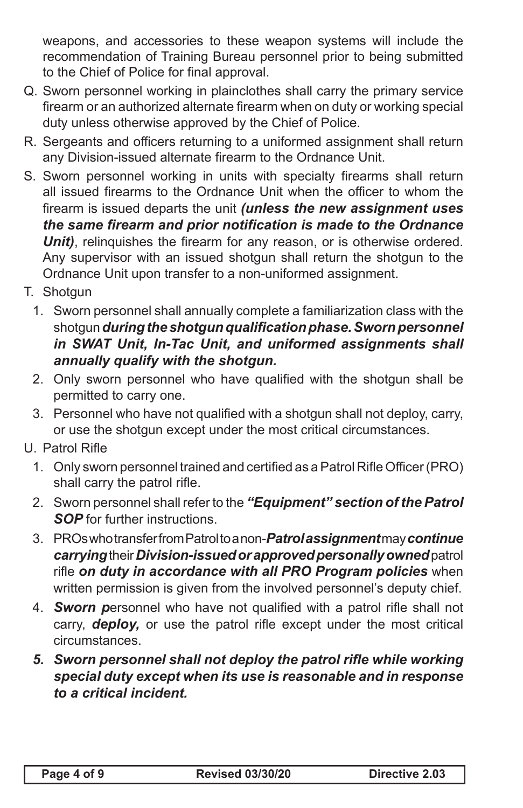weapons, and accessories to these weapon systems will include the recommendation of Training Bureau personnel prior to being submitted to the Chief of Police for final approval.

- Q. Sworn personnel working in plainclothes shall carry the primary service firearm or an authorized alternate firearm when on duty or working special duty unless otherwise approved by the Chief of Police.
- R. Sergeants and officers returning to a uniformed assignment shall return any Division-issued alternate firearm to the Ordnance Unit.
- S. Sworn personnel working in units with specialty firearms shall return all issued firearms to the Ordnance Unit when the officer to whom the firearm is issued departs the unit *(unless the new assignment uses the same firearm and prior notification is made to the Ordnance Unit)*, relinquishes the firearm for any reason, or is otherwise ordered. Any supervisor with an issued shotgun shall return the shotgun to the Ordnance Unit upon transfer to a non-uniformed assignment.
- T. Shotgun
	- 1. Sworn personnel shall annually complete a familiarization class with the shotgun *duringtheshotgunqualificationphase.Sworn personnel in SWAT Unit, In-Tac Unit, and uniformed assignments shall annually qualify with the shotgun.*
	- 2. Only sworn personnel who have qualified with the shotgun shall be permitted to carry one.
	- 3. Personnel who have not qualified with a shotgun shall not deploy, carry, or use the shotgun except under the most critical circumstances.
- U. Patrol Rifle
	- 1. Only sworn personnel trained and certified as a Patrol Rifle Officer (PRO) shall carry the patrol rifle.
	- 2. Sworn personnel shall refer to the *"Equipment" section of the Patrol SOP* for further instructions.
	- 3. PROs who transfer from Patrol to a non-*Patrol assignment* may *continue carrying* their *Division-issued or approved personally owned* patrol rifle *on duty in accordance with all PRO Program policies* when written permission is given from the involved personnel's deputy chief.
	- 4. *Sworn p*ersonnel who have not qualified with a patrol rifle shall not carry, *deploy,* or use the patrol rifle except under the most critical circumstances.
	- *5. Sworn personnel shall not deploy the patrol rifle while working special duty except when its use is reasonable and in response to a critical incident.*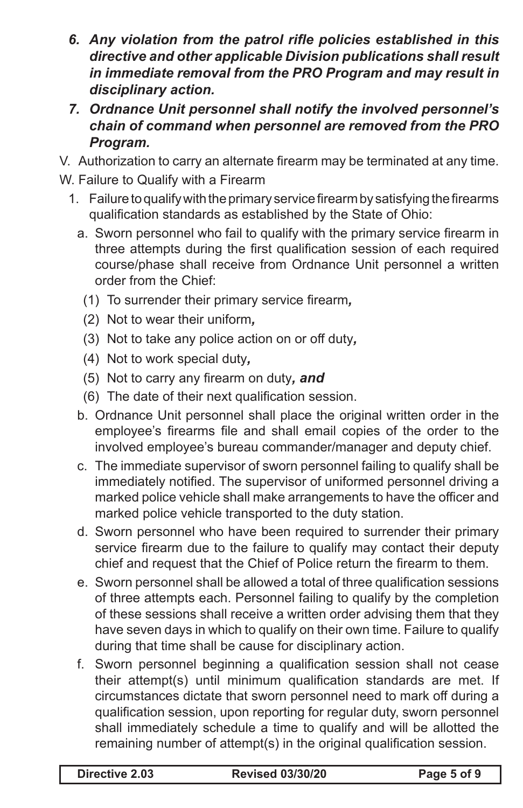- *6. Any violation from the patrol rifle policies established in this directive and other applicable Division publications shall result in immediate removal from the PRO Program and may result in disciplinary action.*
- *7. Ordnance Unit personnel shall notify the involved personnel's chain of command when personnel are removed from the PRO Program.*

V. Authorization to carry an alternate firearm may be terminated at any time.

- W. Failure to Qualify with a Firearm
	- 1. Failure to qualify with the primary service firearm by satisfying the firearms qualification standards as established by the State of Ohio:
		- a. Sworn personnel who fail to qualify with the primary service firearm in three attempts during the first qualification session of each required course/phase shall receive from Ordnance Unit personnel a written order from the Chief:
			- (1) To surrender their primary service firearm*,*
			- (2) Not to wear their uniform*,*
			- (3) Not to take any police action on or off duty*,*
			- (4) Not to work special duty*,*
			- (5) Not to carry any firearm on duty*, and*
			- (6) The date of their next qualification session.
		- b. Ordnance Unit personnel shall place the original written order in the employee's firearms file and shall email copies of the order to the involved employee's bureau commander/manager and deputy chief.
		- c. The immediate supervisor of sworn personnel failing to qualify shall be immediately notified. The supervisor of uniformed personnel driving a marked police vehicle shall make arrangements to have the officer and marked police vehicle transported to the duty station.
		- d. Sworn personnel who have been required to surrender their primary service firearm due to the failure to qualify may contact their deputy chief and request that the Chief of Police return the firearm to them.
		- e. Sworn personnel shall be allowed a total of three qualification sessions of three attempts each. Personnel failing to qualify by the completion of these sessions shall receive a written order advising them that they have seven days in which to qualify on their own time. Failure to qualify during that time shall be cause for disciplinary action.
		- f. Sworn personnel beginning a qualification session shall not cease their attempt(s) until minimum qualification standards are met. If circumstances dictate that sworn personnel need to mark off during a qualification session, upon reporting for regular duty, sworn personnel shall immediately schedule a time to qualify and will be allotted the remaining number of attempt(s) in the original qualification session.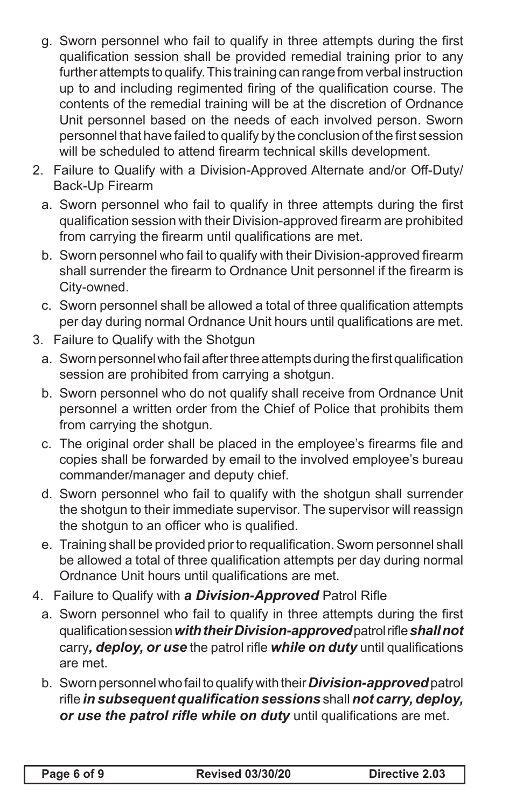- g. Sworn personnel who fail to qualify in three attempts during the first qualification session shall be provided remedial training prior to any further attempts to qualify. This training can range from verbal instruction up to and including regimented firing of the qualification course. The contents of the remedial training will be at the discretion of Ordnance Unit personnel based on the needs of each involved person. Sworn personnel that have failed to qualify by the conclusion of the first session will be scheduled to attend firearm technical skills development.
- 2. Failure to Qualify with a Division-Approved Alternate and/or Off-Duty/ Back-Up Firearm
	- a. Sworn personnel who fail to qualify in three attempts during the first qualification session with their Division-approved firearm are prohibited from carrying the firearm until qualifications are met.
	- b. Sworn personnel who fail to qualify with their Division-approved firearm shall surrender the firearm to Ordnance Unit personnel if the firearm is City-owned.
	- c. Sworn personnel shall be allowed a total of three qualification attempts per day during normal Ordnance Unit hours until qualifications are met.
- 3. Failure to Qualify with the Shotgun
	- a. Sworn personnel who fail after three attempts during the first qualification session are prohibited from carrying a shotgun.
	- b. Sworn personnel who do not qualify shall receive from Ordnance Unit personnel a written order from the Chief of Police that prohibits them from carrying the shotgun.
	- c. The original order shall be placed in the employee's firearms file and copies shall be forwarded by email to the involved employee's bureau commander/manager and deputy chief.
	- d. Sworn personnel who fail to qualify with the shotgun shall surrender the shotgun to their immediate supervisor. The supervisor will reassign the shotgun to an officer who is qualified.
	- e. Training shall be provided prior to requalification. Sworn personnel shall be allowed a total of three qualification attempts per day during normal Ordnance Unit hours until qualifications are met.
- 4. Failure to Qualify with *a Division-Approved* Patrol Rifle
	- a. Sworn personnel who fail to qualify in three attempts during the first qualificationsession*with their Division-approved*patrolrifle*shall not* carry*, deploy, or use* the patrol rifle *while on duty* until qualifications are met.
	- b. Sworn personnel who fail to qualify with their *Division-approved* patrol rifle *in subsequent qualification sessions* shall *not carry, deploy, or use the patrol rifle while on duty* until qualifications are met.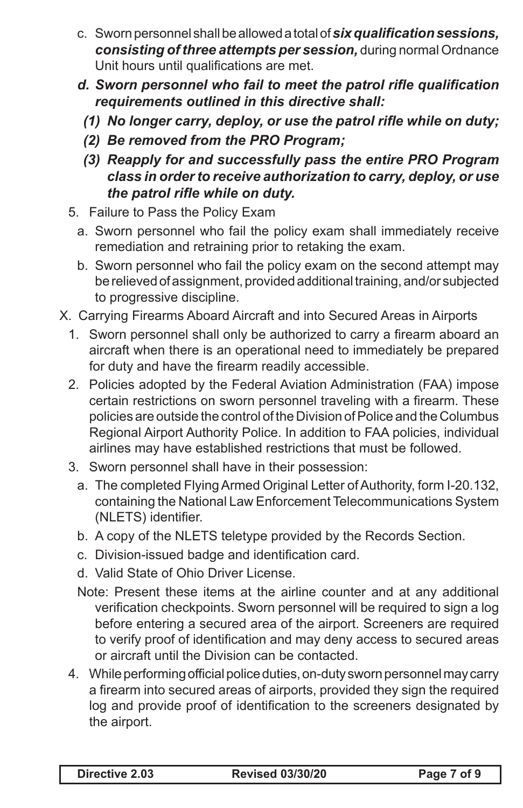- c. Sworn personnel shall be allowed a total of **six qualification sessions,** *consisting of three attempts per session,* during normal Ordnance Unit hours until qualifications are met.
- *d. Sworn personnel who fail to meet the patrol rifle qualification requirements outlined in this directive shall:*
	- *(1) No longer carry, deploy, or use the patrol rifle while on duty;*
	- *(2) Be removed from the PRO Program;*
	- *(3) Reapply for and successfully pass the entire PRO Program class in orderto receive authorization to carry, deploy, or use the patrol rifle while on duty.*
- 5. Failure to Pass the Policy Exam
	- a. Sworn personnel who fail the policy exam shall immediately receive remediation and retraining prior to retaking the exam.
	- b. Sworn personnel who fail the policy exam on the second attempt may be relieved of assignment, provided additional training, and/or subjected to progressive discipline.
- X. Carrying Firearms Aboard Aircraft and into Secured Areas in Airports
	- 1. Sworn personnel shall only be authorized to carry a firearm aboard an aircraft when there is an operational need to immediately be prepared for duty and have the firearm readily accessible.
	- 2. Policies adopted by the Federal Aviation Administration (FAA) impose certain restrictions on sworn personnel traveling with a firearm. These policies are outside the control of the Division of Police and the Columbus Regional Airport Authority Police. In addition to FAA policies, individual airlines may have established restrictions that must be followed.
	- 3. Sworn personnel shall have in their possession:
		- a. The completed Flying Armed Original Letter of Authority, form I-20.132, containing the National Law Enforcement Telecommunications System (NLETS) identifier.
		- b. A copy of the NLETS teletype provided by the Records Section.
		- c. Division-issued badge and identification card.
		- d. Valid State of Ohio Driver License.
		- Note: Present these items at the airline counter and at any additional verification checkpoints. Sworn personnel will be required to sign a log before entering a secured area of the airport. Screeners are required to verify proof of identification and may deny access to secured areas or aircraft until the Division can be contacted.
	- 4. While performing official police duties, on-duty sworn personnel may carry a firearm into secured areas of airports, provided they sign the required log and provide proof of identification to the screeners designated by the airport.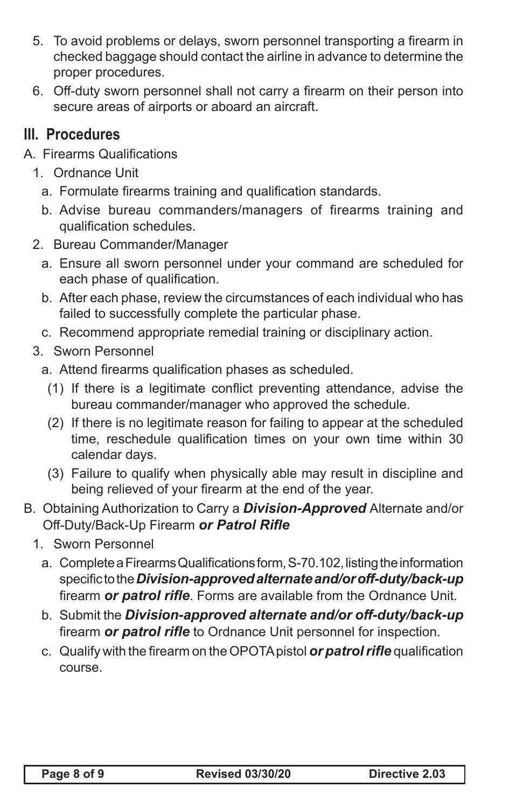- 5. To avoid problems or delays, sworn personnel transporting a firearm in checked baggage should contact the airline in advance to determine the proper procedures.
- 6. Off-duty sworn personnel shall not carry a firearm on their person into secure areas of airports or aboard an aircraft.

### **III. Procedures**

- A. Firearms Qualifications
	- 1. Ordnance Unit
		- a. Formulate firearms training and qualification standards.
		- b. Advise bureau commanders/managers of firearms training and qualification schedules.
	- 2. Bureau Commander/Manager
		- a. Ensure all sworn personnel under your command are scheduled for each phase of qualification.
		- b. After each phase, review the circumstances of each individual who has failed to successfully complete the particular phase.
		- c. Recommend appropriate remedial training or disciplinary action.
	- 3. Sworn Personnel
		- a. Attend firearms qualification phases as scheduled.
		- (1) If there is a legitimate conflict preventing attendance, advise the bureau commander/manager who approved the schedule.
		- (2) If there is no legitimate reason for failing to appear at the scheduled time, reschedule qualification times on your own time within 30 calendar days.
		- (3) Failure to qualify when physically able may result in discipline and being relieved of your firearm at the end of the year.
- B. Obtaining Authorization to Carry a *Division-Approved* Alternate and/or Off-Duty/Back-Up Firearm *or Patrol Rifle*
	- 1. Sworn Personnel
		- a. Complete a Firearms Qualifications form, S-70.102, listing the information specifictothe*Division-approvedalternateand/oroff-duty/back-up* firearm *or patrol rifle*. Forms are available from the Ordnance Unit.
		- b. Submit the *Division-approved alternate and/or off-duty/back-up* firearm *or patrol rifle* to Ordnance Unit personnel for inspection.
		- c. Qualify with the firearm on the OPOTA pistol *or patrol rifle* qualification course.